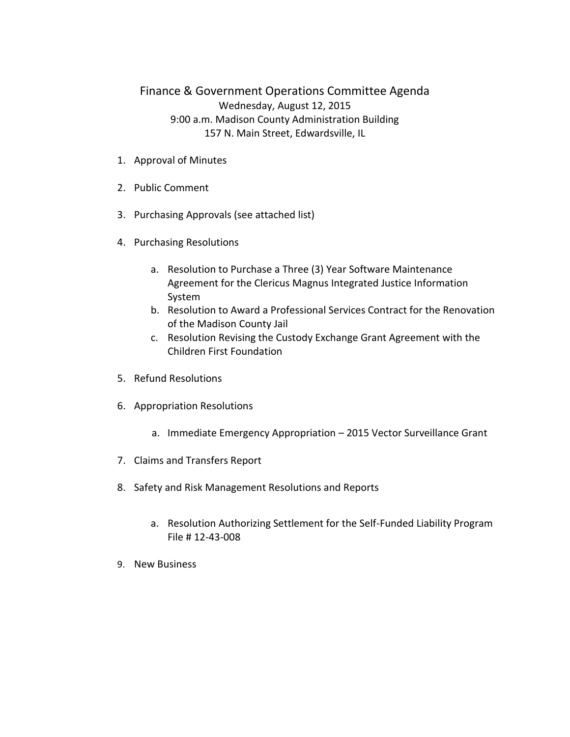## Finance & Government Operations Committee Agenda Wednesday, August 12, 2015 9:00 a.m. Madison County Administration Building 157 N. Main Street, Edwardsville, IL

- 1. Approval of Minutes
- 2. Public Comment
- 3. Purchasing Approvals (see attached list)
- 4. Purchasing Resolutions
	- a. Resolution to Purchase a Three (3) Year Software Maintenance Agreement for the Clericus Magnus Integrated Justice Information System
	- b. Resolution to Award a Professional Services Contract for the Renovation of the Madison County Jail
	- c. Resolution Revising the Custody Exchange Grant Agreement with the Children First Foundation
- 5. Refund Resolutions
- 6. Appropriation Resolutions
	- a. Immediate Emergency Appropriation 2015 Vector Surveillance Grant
- 7. Claims and Transfers Report
- 8. Safety and Risk Management Resolutions and Reports
	- a. Resolution Authorizing Settlement for the Self-Funded Liability Program File # 12-43-008
- 9. New Business